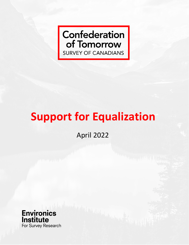# **Confederation** of Tomorrow **SURVEY OF CANADIANS**

# **Support for Equalization**

April 2022

**Environics** *<u>Institute</u>* For Survey Research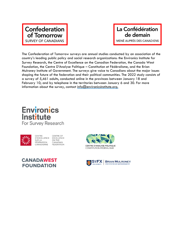### **Confederation** of Tomorrow **SURVEY OF CANADIANS**

### La Confédération de demain MENÉ AUPRÈS DES CANADIENS

The Confederation of Tomorrow surveys are annual studies conducted by an association of the country's leading public policy and social research organizations: the Environics Institute for Survey Research, the Centre of Excellence on the Canadian Federation, the Canada West Foundation, the Centre D'Analyse Politique - Constitution et Fédéralisme, and the Brian Mulroney Institute of Government. The surveys give voice to Canadians about the major issues shaping the future of the federation and their political communities. The 2022 study consists of a survey of 5,461 adults, conducted online in the provinces between January 18 and February 10; and by telephone in the territories between January 6 and 30. For more information about the survey, contact  $info@$  environicsinstitute.org.

### **Environics** Institute For Survey Research



**CENTRE OF** D'EXCELLENCE EXCELLENCE ON THE FÉDÉRATION CANADIAN CANADIENNE **FEDERATION** 



CENTRE

SURIA



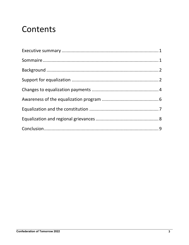# Contents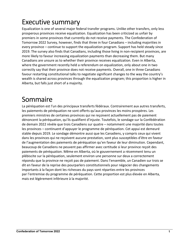# <span id="page-3-0"></span>Executive summary

Equalization is one of several major federal transfer programs. Unlike other transfers, only less prosperous provinces receive equalization. Equalization has been criticized as unfair by premiers in some provinces that currently do not receive payments. The Confederation of Tomorrow 2022 Survey, however, finds that three in four Canadians – including majorities in every province – continue to support the equalization program. Support has held steady since 2019. The survey also finds that Canadians, including those living in non-recipient provinces, are more likely to favour increasing equalization payments than decreasing them. But many Canadians are unsure as to whether their province receives equalization. Even in Alberta, where the government recently held a referendum on equalization, only about one in two correctly say that their province does not receive payments. Overall, one in three Canadians favour restarting constitutional talks to negotiate significant changes to the way the country's wealth is shared across provinces through the equalization program; this proportion is higher in Alberta, but falls just short of a majority.

### <span id="page-3-1"></span>Sommaire

<span id="page-3-2"></span>La péréquation est l'un des principaux transferts fédéraux. Contrairement aux autres transferts, les paiements de péréquation ne sont offerts qu'aux provinces les moins prospères. Les premiers ministres de certaines provinces qui ne reçoivent actuellement pas de paiement dénoncent la péréquation, qu'ils qualifient d'injuste. Toutefois, le sondage sur la Confédération de demain 2022 révèle que trois Canadiens sur quatre – notamment une majorité dans toutes les provinces – continuent d'appuyer le programme de péréquation. Cet appui est demeuré stable depuis 2019. Le sondage démontre aussi que les Canadiens, y compris ceux qui vivent dans les provinces qui ne reçoivent aucune prestation, sont plus susceptibles d'être en faveur de l'augmentation des paiements de péréquation qu'en faveur de leur diminution. Cependant, beaucoup de Canadiens ne peuvent pas affirmer avec certitude si leur province reçoit des paiements de péréquation. Même en Alberta, où le gouvernement a récemment tenu un plébiscite sur la péréquation, seulement environ une personne sur deux a correctement répondu que la province ne reçoit pas de paiement. Dans l'ensemble, un Canadien sur trois se dit en faveur de la reprise des pourparlers constitutionnels pour négocier des changements importants à la façon dont les richesses du pays sont réparties entre les provinces par l'entremise du programme de péréquation. Cette proportion est plus élevée en Alberta, mais est légèrement inférieure à la majorité.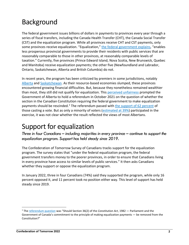## Background

The federal government issues billions of dollars in payments to provinces every year through a series of fiscal transfers, including the Canada Health Transfer (CHT), the Canada Social Transfer (CST) and the equalization program. While all provinces receive CHT and CST payments, only some provinces receive equalization. "Equalization," the federal [government](https://www.canada.ca/en/department-finance/programs/federal-transfers.html) explains, "enables less prosperous provincial governments to provide their residents with public services that are reasonably comparable to those in other provinces, at reasonably comparable levels of taxation." Currently, five provinces (Prince Edward Island, Nova Scotia, New Brunswick, Quebec and Manitoba) receive equalization payments; the other five (Newfoundland and Labrador, Ontario, Saskatchewan, Alberta and British Columbia) do not.

In recent years, the program has been criticized by premiers in some jurisdictions, notably [Alberta](https://globalnews.ca/video/6069157/federal-election-2019-alberta-premier-calls-equalization-format-fundamentally-unfair) and [Saskatchewan.](https://www.saskatchewan.ca/government/news-and-media/2018/june/20/equalization-program) As their resource-based economies slumped, these provinces encountered growing financial difficulties. But, because they nonetheless remained wealthier than most, they still did not qualify for equalization. This perceived [unfairness](https://www.alberta.ca/release.cfm?xID=793270E30BF4E-EC74-8973-B92812EA0E3AB9F3) prompted the Government of Alberta to hold a referendum in October 2021 on the question of whether the section in the Canadian Constitution requiring the federal government to make equalization payments should be rescinded.<sup>[1](#page-4-1)</sup> The referendum passed with the [support](https://officialresults.elections.ab.ca/orResultsReferendum2021.cfm?EventId=68RQ1&QUESTIONNO=1) of 62 percent of those casting a vote. But as only a minority of voters [\(estimated](https://officialresults.elections.ab.ca/orResultsReferendum2021.cfm?EventId=68RQ1&QUESTIONNO=1) at 39%) participated in the exercise, it was not clear whether the result reflected the views of most Albertans.

### <span id="page-4-0"></span>Support for equalization

*Three in four Canadians – including majorities in every province – continue to support the equalization program. Support has held steady since 2019.*

The Confederation of Tomorrow Survey of Canadians tracks support for the equalization program. The survey states that "under the federal equalization program, the federal government transfers money to the poorer provinces, in order to ensure that Canadians living in every province have access to similar levels of public services." It then asks Canadians whether they support or oppose the equalization program.

In January 2022, three in four Canadians (74%) said they supported the program, while only 16 percent opposed it, and 11 percent took no position either way. This level of support has held steady since 2019.

<span id="page-4-1"></span><sup>1</sup> The [referendum](https://officialresults.elections.ab.ca/orResultsReferendum2021.cfm?EventId=68RQ1&QUESTIONNO=1) question was "Should Section 36(2) of the *Constitution Act*, 1982 — Parliament and the Government of Canada's commitment to the principle of making equalization payments — be removed from the Constitution?"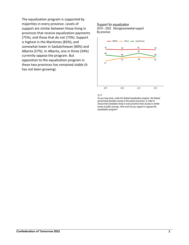The equalization program is supported by majorities in every province. Levels of support are similar between those living in provinces that receive equalization payments (75%), and those that do not (73%). Support is highest in the Maritimes (83%); and somewhat lower in Saskatchewan (60%) and Alberta (57%). In Alberta, one in three (34%) currently oppose the program. But opposition to the equalization program in these two provinces has remained stable (it has not been growing).

### Support for equalization

2019 – 2022 Strongly/somewhat support By province



#### *Q.17*

*As you may know, under the federal equalization program, the federal government transfers money to the poorer provinces, in order to ensure that Canadians living in every province have access to similar levels of public services. How much do you support or oppose the equalization program?*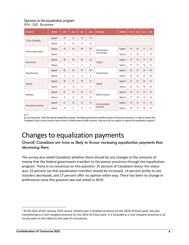#### Opinions on the equalization program 2019 – 2022 By province

| <b>PROVINCE</b>         | OPINION | 2019 | 2020 | 2021 | 2022 | <b>PROVINCE</b>                | OPINION | 2019 | 2020 | 2021 | 2022 |
|-------------------------|---------|------|------|------|------|--------------------------------|---------|------|------|------|------|
| TOTAL (CANADA)          | Support | 75   | 74   | 75   | 74   |                                |         |      |      |      |      |
|                         | Oppose  | 17   | 16   | 13   | 16   |                                |         |      |      |      |      |
| Prince Edward Island    | Support | 76   | 85   | 86   | 87   | Newfoundland<br>and Labrador   | Support | 79   | 83   | 77   | 73   |
|                         | Oppose  | 7    | 2    | 5    | 8    |                                | Oppose  | 11   | 10   | g    | 12   |
| Nova Scotia             | Support | 88   | 84   | 86   | 82   | Ontario <sup>2</sup>           | Support | 78   | 76   | 77   | 79   |
|                         | Oppose  | 7    | 7    | 4    | 8    |                                | Oppose  | 15   | 15   | 12   | 13   |
| New Brunswick           | Support | 80   | 80   | 78   | 84   | Saskatchewan                   | Support | 63   | 57   | 59   | 60   |
|                         | Oppose  | 8    | 8    | 6    | 8    |                                | Oppose  | 29   | 29   | 22   | 28   |
| Quebec                  | Support | 80   | 77   | 78   | 73   | Alberta                        | Support | 51   | 57   | 59   | 57   |
|                         | Oppose  | 10   | 10   | 8    | 11   |                                | Oppose  | 40   | 34   | 30   | 34   |
| Manitoba                | Support | 81   | 79   | 81   | 77   | British Columbia               | Support | 72   | 72   | 75   | 72   |
|                         | Oppose  | 9    | 12   | 10   | 15   |                                | Oppose  | 17   | 18   | 15   | 18   |
| All recipient provinces | Support | 81   | 78   | 79   | 75   | All non-recipient<br>provinces | Support | 72   | 72   | 73   | 73   |
|                         | Oppose  | 10   | 9    | 8    | 11   |                                | Oppose  | 20   | 19   | 16   | 18   |

*Q.17*

As you may know, under the federal equalization program, the federal government transfers money to the poorer provinces, in order to ensure that Canadians living in every province have access to similar levels of public services. How much do you support or oppose the equalization program?

### <span id="page-6-0"></span>Changes to equalization payments

*Overall, Canadians are twice as likely to favour increasing equalization payments than decreasing them.*

The survey also asked Canadians whether there should be any changes to the amounts of money that the federal government transfers to the poorer provinces through the equalization program. There is no consensus on this question: 35 percent of Canadians favour the status quo, 33 percent say that equalization transfers should be increased, 14 percent prefer to see transfers decreased, and 17 percent offer no opinion either way. There has been no change in preferences since this question was last asked in 2019.

<span id="page-6-1"></span> $2$  At the time of the January 2019 survey, Ontario was a recipient province (in the 2018-19 fiscal year), but was transitioning to a non-recipient province (in the 2019-20 fiscal year). It is included as a non-recipient province in all survey years in this table for the sake of consistency.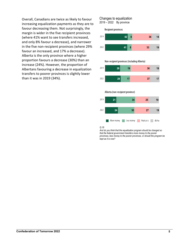Overall, Canadians are twice as likely to favour increasing equalization payments as they are to favour decreasing them. Not surprisingly, the margin is wider in the five recipient provinces (where 41% want to see transfers increased, and only 8% favour a decrease), and narrower in the five non-recipient provinces (where 29% favour an increased, and 17% a decrease). Alberta is the only province where a higher proportion favours a decrease (30%) than an increase (24%). However, the proportion of Albertans favouring a decrease in equalization transfers to poorer provinces is slightly lower than it was in 2019 (34%).

#### Changes to equalization 2019 – 2022 By province Recipient provinces 2019 42  $8<sup>1</sup>$ 2022 41  $\overline{8}$

 $36$ 

33

 $14$ 

19



#### *Q.18*

*And do you think that the equalization program should be changed so that the federal government transfers more money to the poorer provinces, less money to the poorer provinces, or should the program be kept as it is now?*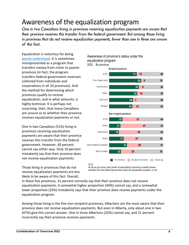### <span id="page-8-0"></span>Awareness of the equalization program

*One in two Canadians living in provinces receiving equalization payments are aware that their province receives this transfer from the federal government. But among those living in provinces that do not receive equalization payments, fewer than one in three are aware of this fact.*

Equalization is notorious for being poorly [understood.](https://www.commongroundpolitics.ca/abequalization) It is sometimes misrepresented as a program that transfers money from richer to poorer provinces (in fact, the program transfers federal government revenues collected from individuals and corporations in all 10 provinces). And the method for determining which provinces qualify to receive equalization, and in what amounts, is highly technical. It is perhaps not surprising, then, that many Canadians are unsure as to whether their province receives equalization payments or not.

One in two Canadians (51%) living in provinces receiving equalization payments are aware that their province receives this transfer from the federal government. However, 40 percent cannot say either way. Only 10 percent mistakenly say that their province does not receive equalization payments.

Those living in provinces that do not receive equalization payments are less likely to be aware of this fact. Overall,

*As far as you know, does [name of respondent's province] currently receive transfers from the federal government under the equalization program, or not*

in these five provinces, 31 percent correctly say that their province does not receive equalization payments. A somewhat higher proportion (44%) cannot say, and a somewhat lower proportion (25%) mistakenly says that their province does receive payments under the equalization program.

Among those living in the five non-recipient provinces, Albertans are the most aware that their province does not receive equalization payments. But even in Alberta, only about one in two (47%) give this correct answer. One in three Albertans (32%) cannot say, and 21 percent incorrectly say their province receives payments.



Awareness of province's status under the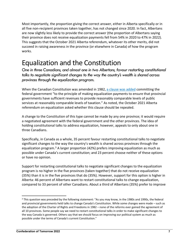Most importantly, the proportion giving the correct answer, either in Alberta specifically or in all five non-recipient provinces taken together, has not changed since 2020. In fact, Albertans are now slightly less likely to provide the correct answer (the proportion of Albertans saying their province does not receive equalization payments fell from 54% in 2020 to 47% in 2022). This suggests that the October 2021 Alberta referendum, whatever its other merits, did not succeed in raising awareness in the province (or elsewhere in Canada) of how the program works.

### <span id="page-9-0"></span>Equalization and the Constitution

*One in three Canadians, and almost one in two Albertans, favour restarting constitutional talks to negotiate significant changes to the way the country's wealth is shared across provinces through the equalization program.*

When the Canadian Constitution was amended in 1982, a clause was [added](https://laws-lois.justice.gc.ca/eng/const/page-13.html) committing the federal government "to the principle of making equalization payments to ensure that provincial governments have sufficient revenues to provide reasonably comparable levels of public services at reasonably comparable levels of taxation." As noted, the October 2021 Alberta referendum on equalization asked whether this clause should be repealed.

A change to the Constitution of this type cannot be made by any one province; it would require a negotiated agreement with the federal government and the other provinces. The idea of holding constitutional talks to address equalization, however, appeals to only about one in three Canadians.

Specifically, in Canada as a whole, 35 percent favour restarting constitutional talks to negotiate significant changes to the way the country's wealth is shared across provinces through the equalization program.<sup>[3](#page-9-1)</sup> A larger proportion (42%) prefers improving equalization as much as possible under Canada's current constitution; and 23 percent choose neither of these options or have no opinion.

Support for restarting constitutional talks to negotiate significant changes to the equalization program is no higher in the five provinces (taken together) that do not receive equalization (35%) than it is in the five provinces that do (35%). However, support for this option is higher in Alberta: 46 percent of Albertans want to restart constitutional talks to change equalization, compared to 33 percent of other Canadians. About a third of Albertans (35%) prefer to improve

<span id="page-9-1"></span><sup>3</sup> This question was preceded by the following statement: "As you may know, in the 1980s and 1990s, the federal and provincial governments held talks to change Canada's Constitution. While some changes were made – such as the adoption of the Charter of Rights and Freedoms in 1982 – none of the reforms ever gained the agreement of all 10 provinces. Some people say we need to restart constitutional talks in order to make significant changes to the way Canada is governed. Others say that we should focus on improving our political system as much as possible under the terms of Canada's current Constitution."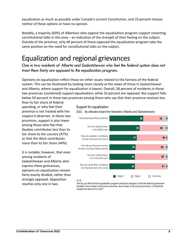equalization as much as possible under Canada's current Constitution, and 19 percent choose neither of these options or have no opinion.

Notably, a majority (69%) of Albertans who oppose the equalization program support restarting constitutional talks in this area – an indication of the strength of their feeling on the subject. Outside of the province, only 49 percent of those opposed the equalization program take the same position on the need for constitutional talks on the subject.

### <span id="page-10-0"></span>Equalization and regional grievances

*One in two residents of Alberta and Saskatchewan who feel the federal system does not treat them fairly are opposed to the equalization program.*

Opinions on equalization reflect those on other issues related to the fairness of the federal system. This can be illustrated by looking more closely at the views of those in Saskatchewan and Alberta, where support for equalization is lowest. Overall, 58 percent of residents in those two provinces (combined) support equalization, while 33 percent are opposed. But support falls below 50 percent in these two provinces among those who say that their province receives less

than its fair share of federal spending, or who feel their province is not treated with the respect it deserves. In these two provinces, support is also lower among those who feel that Quebec contributes less than its fair share to the country (47%) or that the West contributes more than its fair share (44%).

<span id="page-10-1"></span>It is notable, however, that even among residents of Saskatchewan and Alberta who express these grievances, opinions on equalization remain fairly evenly divided, rather than strongly opposed. Opposition reaches only one in two.

#### Support for equalization

Total (Saskatchewan/Alberta combined) 58  $33$ 9 Those who say their province  $52$ 40 8 is not wealthy or poor Those who say Quebec is contributing 47 49 4 less than its fair share to the country Those who say their province receives 45 48 8 less than its fair share of federal spending Those who say their province 44  $50$  6 is not treated with respect Those who say the West is contributing 44  $515$ more than its fair share to the country Support Oppose | Cannot say

2022 By attitudes toward the federation (Alberta and Saskatchewan)

#### *Q.18*

*And do you think that the equalization program should be changed so that the federal government transfers more money to the poorer provinces, less money to the poorer provinces, or should the program be kept as it is now?*